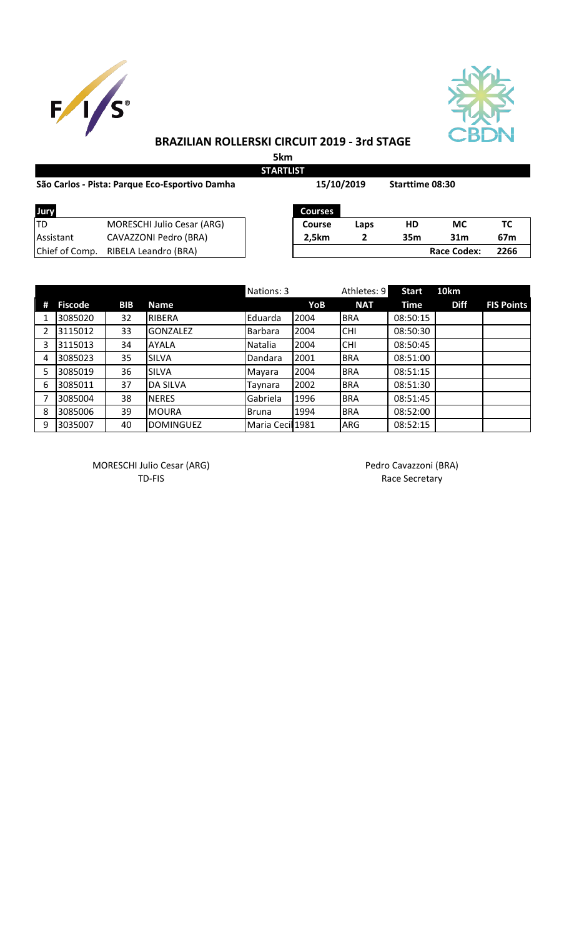



## **BRAZILIAN ROLLERSKI CIRCUIT 2019 - 3rd STAGE**

**5km STARTLIST**

|      | 15/10/2019<br>São Carlos - Pista: Parque Eco-Esportivo Damha |                |      |    | <b>Starttime 08:30</b> |    |
|------|--------------------------------------------------------------|----------------|------|----|------------------------|----|
| Jury |                                                              | <b>Courses</b> |      |    |                        |    |
| TD   | <b>MORESCHI Julio Cesar (ARG)</b>                            | Course         | Laps | HD | МC                     | тс |

| Assistant | CAVAZZONI Pedro (BRA)               |
|-----------|-------------------------------------|
|           | Chief of Comp. RIBELA Leandro (BRA) |
|           |                                     |

| Jury      |                                     | <b>Courses</b> |      |     |                    |      |
|-----------|-------------------------------------|----------------|------|-----|--------------------|------|
| TD        | <b>MORESCHI Julio Cesar (ARG)</b>   | <b>Course</b>  | Laps | HD  | МC                 | ТС   |
| Assistant | CAVAZZONI Pedro (BRA)               | 2.5km          |      | 35m | 31 <sub>m</sub>    | 67m  |
|           | Chief of Comp. RIBELA Leandro (BRA) |                |      |     | <b>Race Codex:</b> | 2266 |

|   |                |            |                  | Nations: 3       |      | Athletes: 9 | <b>Start</b> | 10km        |                   |
|---|----------------|------------|------------------|------------------|------|-------------|--------------|-------------|-------------------|
| # | <b>Fiscode</b> | <b>BIB</b> | <b>Name</b>      |                  | YoB  | <b>NAT</b>  | Time         | <b>Diff</b> | <b>FIS Points</b> |
|   | 3085020        | 32         | <b>RIBERA</b>    | Eduarda          | 2004 | <b>BRA</b>  | 08:50:15     |             |                   |
|   | 3115012        | 33         | <b>GONZALEZ</b>  | Barbara          | 2004 | <b>CHI</b>  | 08:50:30     |             |                   |
| 3 | 3115013        | 34         | <b>AYALA</b>     | Natalia          | 2004 | <b>CHI</b>  | 08:50:45     |             |                   |
| 4 | 3085023        | 35         | <b>SILVA</b>     | Dandara          | 2001 | <b>BRA</b>  | 08:51:00     |             |                   |
|   | 3085019        | 36         | <b>SILVA</b>     | Mayara           | 2004 | <b>BRA</b>  | 08:51:15     |             |                   |
| 6 | 3085011        | 37         | <b>DA SILVA</b>  | Taynara          | 2002 | <b>BRA</b>  | 08:51:30     |             |                   |
|   | 3085004        | 38         | <b>NERES</b>     | Gabriela         | 1996 | <b>BRA</b>  | 08:51:45     |             |                   |
| 8 | 3085006        | 39         | <b>MOURA</b>     | Bruna            | 1994 | <b>BRA</b>  | 08:52:00     |             |                   |
| 9 | 3035007        | 40         | <b>DOMINGUEZ</b> | Maria Cecil 1981 |      | <b>ARG</b>  | 08:52:15     |             |                   |

MORESCHI Julio Cesar (ARG) MORESCHI Julio Cesar (ARG) TD-FIS Race Secretary